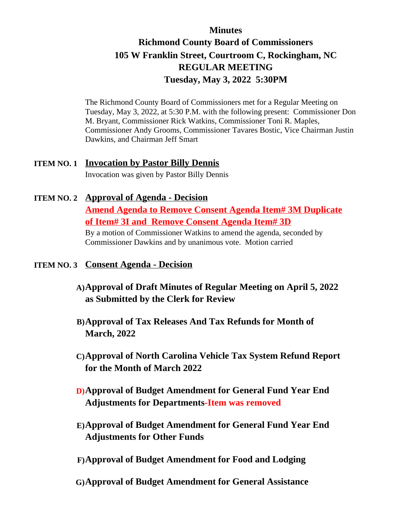#### **Minutes**

## **Richmond County Board of Commissioners 105 W Franklin Street, Courtroom C, Rockingham, NC REGULAR MEETING Tuesday, May 3, 2022 5:30PM**

The Richmond County Board of Commissioners met for a Regular Meeting on Tuesday, May 3, 2022, at 5:30 P.M. with the following present: Commissioner Don M. Bryant, Commissioner Rick Watkins, Commissioner Toni R. Maples, Commissioner Andy Grooms, Commissioner Tavares Bostic, Vice Chairman Justin Dawkins, and Chairman Jeff Smart

# **ITEM NO. 1 Invocation by Pastor Billy Dennis**

Invocation was given by Pastor Billy Dennis

# **ITEM NO. 2 Approval of Agenda - Decision**

**Amend Agenda to Remove Consent Agenda Item# 3M Duplicate of Item# 3I and Remove Consent Agenda Item# 3D**

By a motion of Commissioner Watkins to amend the agenda, seconded by Commissioner Dawkins and by unanimous vote. Motion carried

#### **ITEM NO. 3 Consent Agenda - Decision**

- **A)Approval of Draft Minutes of Regular Meeting on April 5, 2022 as Submitted by the Clerk for Review**
- **B)Approval of Tax Releases And Tax Refunds for Month of March, 2022**
- **C)Approval of North Carolina Vehicle Tax System Refund Report for the Month of March 2022**
- **D)Approval of Budget Amendment for General Fund Year End Adjustments for Departments-Item was removed**
- **E)Approval of Budget Amendment for General Fund Year End Adjustments for Other Funds**
- **F)Approval of Budget Amendment for Food and Lodging**
- **G)Approval of Budget Amendment for General Assistance**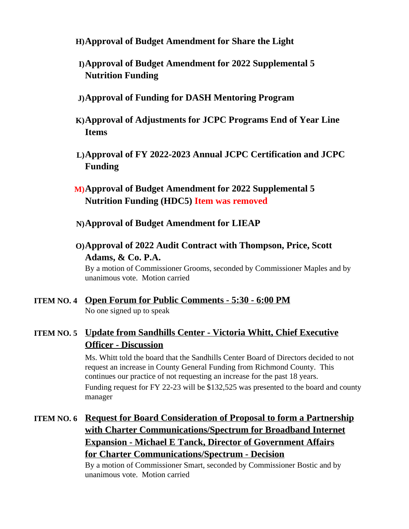- **H)Approval of Budget Amendment for Share the Light**
- **I)Approval of Budget Amendment for 2022 Supplemental 5 Nutrition Funding**
- **J)Approval of Funding for DASH Mentoring Program**
- **K)Approval of Adjustments for JCPC Programs End of Year Line Items**
- **L)Approval of FY 2022-2023 Annual JCPC Certification and JCPC Funding**
- **M)Approval of Budget Amendment for 2022 Supplemental 5 Nutrition Funding (HDC5) Item was removed**
- **N)Approval of Budget Amendment for LIEAP**
- **O)Approval of 2022 Audit Contract with Thompson, Price, Scott Adams, & Co. P.A.**

By a motion of Commissioner Grooms, seconded by Commissioner Maples and by unanimous vote. Motion carried

- **ITEM NO. 4 Open Forum for Public Comments 5:30 6:00 PM** No one signed up to speak
- **ITEM NO. 5 Update from Sandhills Center Victoria Whitt, Chief Executive Officer - Discussion**

Ms. Whitt told the board that the Sandhills Center Board of Directors decided to not request an increase in County General Funding from Richmond County. This continues our practice of not requesting an increase for the past 18 years. Funding request for FY 22-23 will be \$132,525 was presented to the board and county manager

**ITEM NO. 6 Request for Board Consideration of Proposal to form a Partnership with Charter Communications/Spectrum for Broadband Internet Expansion - Michael E Tanck, Director of Government Affairs for Charter Communications/Spectrum - Decision**

> By a motion of Commissioner Smart, seconded by Commissioner Bostic and by unanimous vote. Motion carried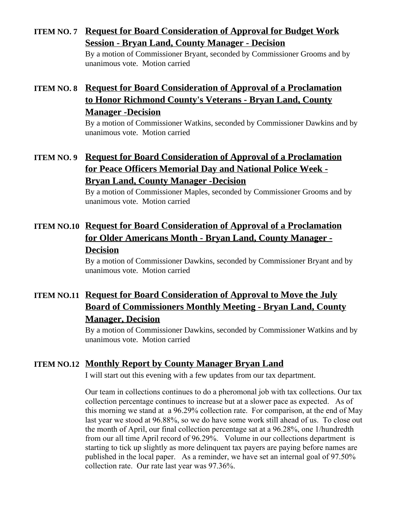#### **ITEM NO. 7 Request for Board Consideration of Approval for Budget Work Session - Bryan Land, County Manager - Decision**

By a motion of Commissioner Bryant, seconded by Commissioner Grooms and by unanimous vote. Motion carried

## **ITEM NO. 8 Request for Board Consideration of Approval of a Proclamation to Honor Richmond County's Veterans - Bryan Land, County Manager -Decision**

By a motion of Commissioner Watkins, seconded by Commissioner Dawkins and by unanimous vote. Motion carried

## **ITEM NO. 9 Request for Board Consideration of Approval of a Proclamation for Peace Officers Memorial Day and National Police Week - Bryan Land, County Manager -Decision**

By a motion of Commissioner Maples, seconded by Commissioner Grooms and by unanimous vote. Motion carried

## **ITEM NO.10 Request for Board Consideration of Approval of a Proclamation for Older Americans Month - Bryan Land, County Manager - Decision**

By a motion of Commissioner Dawkins, seconded by Commissioner Bryant and by unanimous vote. Motion carried

## **ITEM NO.11 Request for Board Consideration of Approval to Move the July Board of Commissioners Monthly Meeting - Bryan Land, County Manager, Decision**

By a motion of Commissioner Dawkins, seconded by Commissioner Watkins and by unanimous vote. Motion carried

#### **ITEM NO.12 Monthly Report by County Manager Bryan Land**

I will start out this evening with a few updates from our tax department.

Our team in collections continues to do a pheromonal job with tax collections. Our tax collection percentage continues to increase but at a slower pace as expected. As of this morning we stand at a 96.29% collection rate. For comparison, at the end of May last year we stood at 96.88%, so we do have some work still ahead of us. To close out the month of April, our final collection percentage sat at a 96.28%, one 1/hundredth from our all time April record of 96.29%. Volume in our collections department is starting to tick up slightly as more delinquent tax payers are paying before names are published in the local paper. As a reminder, we have set an internal goal of 97.50% collection rate. Our rate last year was 97.36%.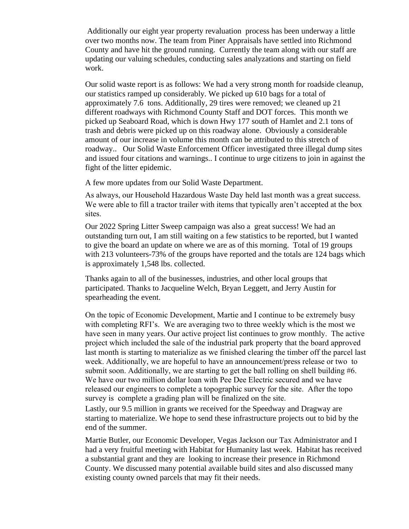Additionally our eight year property revaluation process has been underway a little over two months now. The team from Piner Appraisals have settled into Richmond County and have hit the ground running. Currently the team along with our staff are updating our valuing schedules, conducting sales analyzations and starting on field work.

Our solid waste report is as follows: We had a very strong month for roadside cleanup, our statistics ramped up considerably. We picked up 610 bags for a total of approximately 7.6 tons. Additionally, 29 tires were removed; we cleaned up 21 different roadways with Richmond County Staff and DOT forces. This month we picked up Seaboard Road, which is down Hwy 177 south of Hamlet and 2.1 tons of trash and debris were picked up on this roadway alone. Obviously a considerable amount of our increase in volume this month can be attributed to this stretch of roadway.. Our Solid Waste Enforcement Officer investigated three illegal dump sites and issued four citations and warnings.. I continue to urge citizens to join in against the fight of the litter epidemic.

A few more updates from our Solid Waste Department.

As always, our Household Hazardous Waste Day held last month was a great success. We were able to fill a tractor trailer with items that typically aren't accepted at the box sites.

Our 2022 Spring Litter Sweep campaign was also a great success! We had an outstanding turn out, I am still waiting on a few statistics to be reported, but I wanted to give the board an update on where we are as of this morning. Total of 19 groups with 213 volunteers-73% of the groups have reported and the totals are 124 bags which is approximately 1,548 lbs. collected.

Thanks again to all of the businesses, industries, and other local groups that participated. Thanks to Jacqueline Welch, Bryan Leggett, and Jerry Austin for spearheading the event.

On the topic of Economic Development, Martie and I continue to be extremely busy with completing RFI's. We are averaging two to three weekly which is the most we have seen in many years. Our active project list continues to grow monthly. The active project which included the sale of the industrial park property that the board approved last month is starting to materialize as we finished clearing the timber off the parcel last week. Additionally, we are hopeful to have an announcement/press release or two to submit soon. Additionally, we are starting to get the ball rolling on shell building #6. We have our two million dollar loan with Pee Dee Electric secured and we have released our engineers to complete a topographic survey for the site. After the topo survey is complete a grading plan will be finalized on the site.

Lastly, our 9.5 million in grants we received for the Speedway and Dragway are starting to materialize. We hope to send these infrastructure projects out to bid by the end of the summer.

Martie Butler, our Economic Developer, Vegas Jackson our Tax Administrator and I had a very fruitful meeting with Habitat for Humanity last week. Habitat has received a substantial grant and they are looking to increase their presence in Richmond County. We discussed many potential available build sites and also discussed many existing county owned parcels that may fit their needs.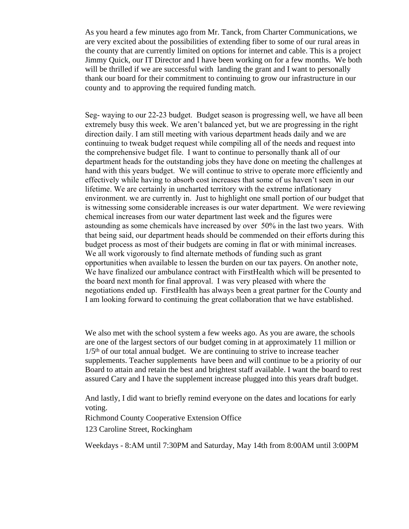As you heard a few minutes ago from Mr. Tanck, from Charter Communications, we are very excited about the possibilities of extending fiber to some of our rural areas in the county that are currently limited on options for internet and cable. This is a project Jimmy Quick, our IT Director and I have been working on for a few months. We both will be thrilled if we are successful with landing the grant and I want to personally thank our board for their commitment to continuing to grow our infrastructure in our county and to approving the required funding match.

Seg- waying to our 22-23 budget. Budget season is progressing well, we have all been extremely busy this week. We aren't balanced yet, but we are progressing in the right direction daily. I am still meeting with various department heads daily and we are continuing to tweak budget request while compiling all of the needs and request into the comprehensive budget file. I want to continue to personally thank all of our department heads for the outstanding jobs they have done on meeting the challenges at hand with this years budget. We will continue to strive to operate more efficiently and effectively while having to absorb cost increases that some of us haven't seen in our lifetime. We are certainly in uncharted territory with the extreme inflationary environment. we are currently in. Just to highlight one small portion of our budget that is witnessing some considerable increases is our water department. We were reviewing chemical increases from our water department last week and the figures were astounding as some chemicals have increased by over 50% in the last two years. With that being said, our department heads should be commended on their efforts during this budget process as most of their budgets are coming in flat or with minimal increases. We all work vigorously to find alternate methods of funding such as grant opportunities when available to lessen the burden on our tax payers. On another note, We have finalized our ambulance contract with FirstHealth which will be presented to the board next month for final approval. I was very pleased with where the negotiations ended up. FirstHealth has always been a great partner for the County and I am looking forward to continuing the great collaboration that we have established.

We also met with the school system a few weeks ago. As you are aware, the schools are one of the largest sectors of our budget coming in at approximately 11 million or  $1/5<sup>th</sup>$  of our total annual budget. We are continuing to strive to increase teacher supplements. Teacher supplements have been and will continue to be a priority of our Board to attain and retain the best and brightest staff available. I want the board to rest assured Cary and I have the supplement increase plugged into this years draft budget.

And lastly, I did want to briefly remind everyone on the dates and locations for early voting.

Richmond County Cooperative Extension Office

123 Caroline Street, Rockingham

Weekdays - 8:AM until 7:30PM and Saturday, May 14th from 8:00AM until 3:00PM